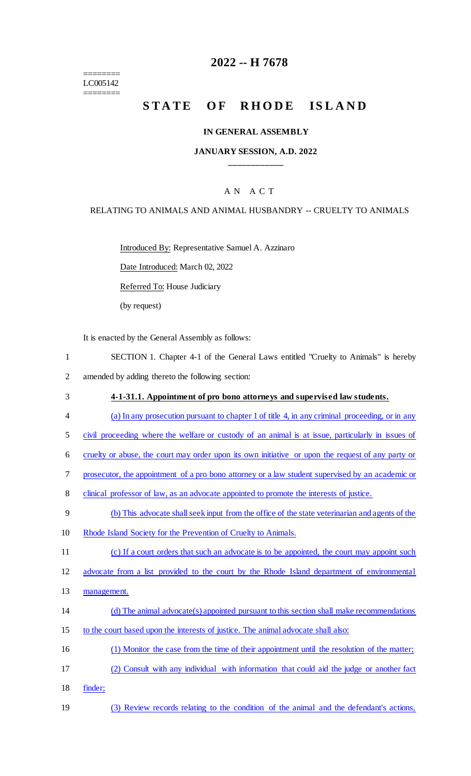======== LC005142 ========

# **2022 -- H 7678**

# STATE OF RHODE ISLAND

#### **IN GENERAL ASSEMBLY**

#### **JANUARY SESSION, A.D. 2022 \_\_\_\_\_\_\_\_\_\_\_\_**

### A N A C T

### RELATING TO ANIMALS AND ANIMAL HUSBANDRY -- CRUELTY TO ANIMALS

Introduced By: Representative Samuel A. Azzinaro

Date Introduced: March 02, 2022

Referred To: House Judiciary

(by request)

It is enacted by the General Assembly as follows:

- 1 SECTION 1. Chapter 4-1 of the General Laws entitled "Cruelty to Animals" is hereby 2 amended by adding thereto the following section:
- 3 **4-1-31.1. Appointment of pro bono attorneys and supervised law students.**
- 4 (a) In any prosecution pursuant to chapter 1 of title 4, in any criminal proceeding, or in any
- 5 civil proceeding where the welfare or custody of an animal is at issue, particularly in issues of
- 6 cruelty or abuse, the court may order upon its own initiative or upon the request of any party or
- 7 prosecutor, the appointment of a pro bono attorney or a law student supervised by an academic or
- 8 clinical professor of law, as an advocate appointed to promote the interests of justice.
- 9 (b) This advocate shall seek input from the office of the state veterinarian and agents of the
- 10 Rhode Island Society for the Prevention of Cruelty to Animals.
- 11 (c) If a court orders that such an advocate is to be appointed, the court may appoint such

12 advocate from a list provided to the court by the Rhode Island department of environmental

- 13 management.
- 14 (d) The animal advocate(s) appointed pursuant to this section shall make recommendations
- 15 to the court based upon the interests of justice. The animal advocate shall also:
- 16 (1) Monitor the case from the time of their appointment until the resolution of the matter;
- 17 (2) Consult with any individual with information that could aid the judge or another fact
- 18 finder;
- 19 (3) Review records relating to the condition of the animal and the defendant's actions,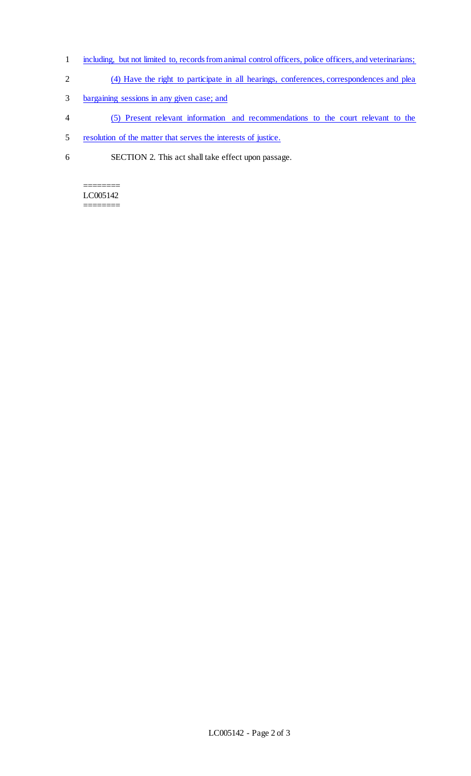- 1 including, but not limited to, records from animal control officers, police officers, and veterinarians;
- 2 (4) Have the right to participate in all hearings, conferences, correspondences and plea
- 3 bargaining sessions in any given case; and
- 4 (5) Present relevant information and recommendations to the court relevant to the
- 5 resolution of the matter that serves the interests of justice.
- 6 SECTION 2. This act shall take effect upon passage.

#### ======== LC005142 ========